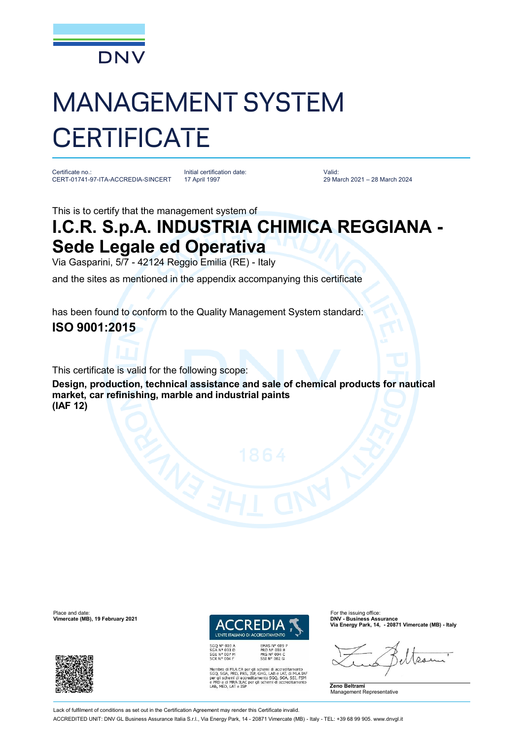

## MANAGEMENT SYSTEM **CERTIFICATE**

Certificate no.: CERT-01741-97-ITA-ACCREDIA-SINCERT

Initial certification date: 17 April 1997

Valid: 29 March 2021 – 28 March 2024

This is to certify that the management system of

## **I.C.R. S.p.A. INDUSTRIA CHIMICA REGGIANA - Sede Legale ed Operativa**

Via Gasparini, 5/7 - 42124 Reggio Emilia (RE) - Italy

and the sites as mentioned in the appendix accompanying this certificate

has been found to conform to the Quality Management System standard: **ISO 9001:2015**

This certificate is valid for the following scope:

**Design, production, technical assistance and sale of chemical products for nautical market, car refinishing, marble and industrial paints (IAF 12)**

Place and date: For the issuing office:<br> **Place and date:** For the issuing office: For the issuing office: For the issuing office:<br> **Place and Contract Contract Contract Contract Contract Contract Contract Contract Contrac Vimercate (MB), 19 February 2021** 



**EMAS N° 009<br>PRD N° 003 B<br>PRS N° 094 C<br>SSI N° 002 G** 

MLA EA per gli schemi di accreditamento<br>PRD, PRS, ISP, GHG, LAB e LAT, di MLA IAF<br>mi di accreditamento SGQ, SGA, SSI, FSM<br>MRA ILAC per gli schemi di accreditamento e PRD e di MRA ILAC per<br>LAB, MED, LAT e ISP

**Via Energy Park, 14, - 20871 Vimercate (MB) - Italy**

**Zeno Beltrami** Management Representative

Lack of fulfilment of conditions as set out in the Certification Agreement may render this Certificate invalid

ACCREDITED UNIT: DNV GL Business Assurance Italia S.r.l., Via Energy Park, 14 - 20871 Vimercate (MB) - Italy - TEL: +39 68 99 905. [www.dnvgl.it](http://www.dnvgl.it)